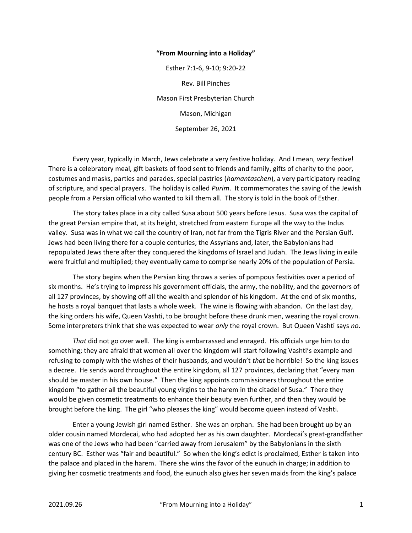## "From Mourning into a Holiday"

Esther 7:1-6, 9-10; 9:20-22 Rev. Bill Pinches Mason First Presbyterian Church Mason, Michigan September 26, 2021

 Every year, typically in March, Jews celebrate a very festive holiday. And I mean, very festive! There is a celebratory meal, gift baskets of food sent to friends and family, gifts of charity to the poor, costumes and masks, parties and parades, special pastries (hamantaschen), a very participatory reading of scripture, and special prayers. The holiday is called *Purim*. It commemorates the saving of the Jewish people from a Persian official who wanted to kill them all. The story is told in the book of Esther.

 The story takes place in a city called Susa about 500 years before Jesus. Susa was the capital of the great Persian empire that, at its height, stretched from eastern Europe all the way to the Indus valley. Susa was in what we call the country of Iran, not far from the Tigris River and the Persian Gulf. Jews had been living there for a couple centuries; the Assyrians and, later, the Babylonians had repopulated Jews there after they conquered the kingdoms of Israel and Judah. The Jews living in exile were fruitful and multiplied; they eventually came to comprise nearly 20% of the population of Persia.

 The story begins when the Persian king throws a series of pompous festivities over a period of six months. He's trying to impress his government officials, the army, the nobility, and the governors of all 127 provinces, by showing off all the wealth and splendor of his kingdom. At the end of six months, he hosts a royal banquet that lasts a whole week. The wine is flowing with abandon. On the last day, the king orders his wife, Queen Vashti, to be brought before these drunk men, wearing the royal crown. Some interpreters think that she was expected to wear only the royal crown. But Queen Vashti says no.

That did not go over well. The king is embarrassed and enraged. His officials urge him to do something; they are afraid that women all over the kingdom will start following Vashti's example and refusing to comply with the wishes of their husbands, and wouldn't that be horrible! So the king issues a decree. He sends word throughout the entire kingdom, all 127 provinces, declaring that "every man should be master in his own house." Then the king appoints commissioners throughout the entire kingdom "to gather all the beautiful young virgins to the harem in the citadel of Susa." There they would be given cosmetic treatments to enhance their beauty even further, and then they would be brought before the king. The girl "who pleases the king" would become queen instead of Vashti.

 Enter a young Jewish girl named Esther. She was an orphan. She had been brought up by an older cousin named Mordecai, who had adopted her as his own daughter. Mordecai's great-grandfather was one of the Jews who had been "carried away from Jerusalem" by the Babylonians in the sixth century BC. Esther was "fair and beautiful." So when the king's edict is proclaimed, Esther is taken into the palace and placed in the harem. There she wins the favor of the eunuch in charge; in addition to giving her cosmetic treatments and food, the eunuch also gives her seven maids from the king's palace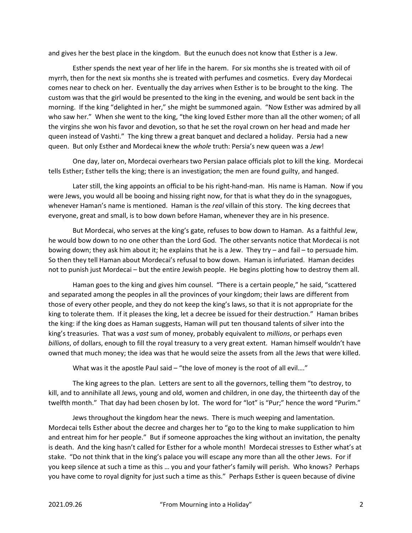and gives her the best place in the kingdom. But the eunuch does not know that Esther is a Jew.

 Esther spends the next year of her life in the harem. For six months she is treated with oil of myrrh, then for the next six months she is treated with perfumes and cosmetics. Every day Mordecai comes near to check on her. Eventually the day arrives when Esther is to be brought to the king. The custom was that the girl would be presented to the king in the evening, and would be sent back in the morning. If the king "delighted in her," she might be summoned again. "Now Esther was admired by all who saw her." When she went to the king, "the king loved Esther more than all the other women; of all the virgins she won his favor and devotion, so that he set the royal crown on her head and made her queen instead of Vashti." The king threw a great banquet and declared a holiday. Persia had a new queen. But only Esther and Mordecai knew the whole truth: Persia's new queen was a Jew!

 One day, later on, Mordecai overhears two Persian palace officials plot to kill the king. Mordecai tells Esther; Esther tells the king; there is an investigation; the men are found guilty, and hanged.

 Later still, the king appoints an official to be his right-hand-man. His name is Haman. Now if you were Jews, you would all be booing and hissing right now, for that is what they do in the synagogues, whenever Haman's name is mentioned. Haman is the real villain of this story. The king decrees that everyone, great and small, is to bow down before Haman, whenever they are in his presence.

 But Mordecai, who serves at the king's gate, refuses to bow down to Haman. As a faithful Jew, he would bow down to no one other than the Lord God. The other servants notice that Mordecai is not bowing down; they ask him about it; he explains that he is a Jew. They try – and fail – to persuade him. So then they tell Haman about Mordecai's refusal to bow down. Haman is infuriated. Haman decides not to punish just Mordecai – but the entire Jewish people. He begins plotting how to destroy them all.

 Haman goes to the king and gives him counsel. "There is a certain people," he said, "scattered and separated among the peoples in all the provinces of your kingdom; their laws are different from those of every other people, and they do not keep the king's laws, so that it is not appropriate for the king to tolerate them. If it pleases the king, let a decree be issued for their destruction." Haman bribes the king: if the king does as Haman suggests, Haman will put ten thousand talents of silver into the king's treasuries. That was a vast sum of money, probably equivalent to *millions*, or perhaps even billions, of dollars, enough to fill the royal treasury to a very great extent. Haman himself wouldn't have owned that much money; the idea was that he would seize the assets from all the Jews that were killed.

What was it the apostle Paul said – "the love of money is the root of all evil...."

 The king agrees to the plan. Letters are sent to all the governors, telling them "to destroy, to kill, and to annihilate all Jews, young and old, women and children, in one day, the thirteenth day of the twelfth month." That day had been chosen by lot. The word for "lot" is "Pur;" hence the word "Purim."

 Jews throughout the kingdom hear the news. There is much weeping and lamentation. Mordecai tells Esther about the decree and charges her to "go to the king to make supplication to him and entreat him for her people." But if someone approaches the king without an invitation, the penalty is death. And the king hasn't called for Esther for a whole month! Mordecai stresses to Esther what's at stake. "Do not think that in the king's palace you will escape any more than all the other Jews. For if you keep silence at such a time as this … you and your father's family will perish. Who knows? Perhaps you have come to royal dignity for just such a time as this." Perhaps Esther is queen because of divine